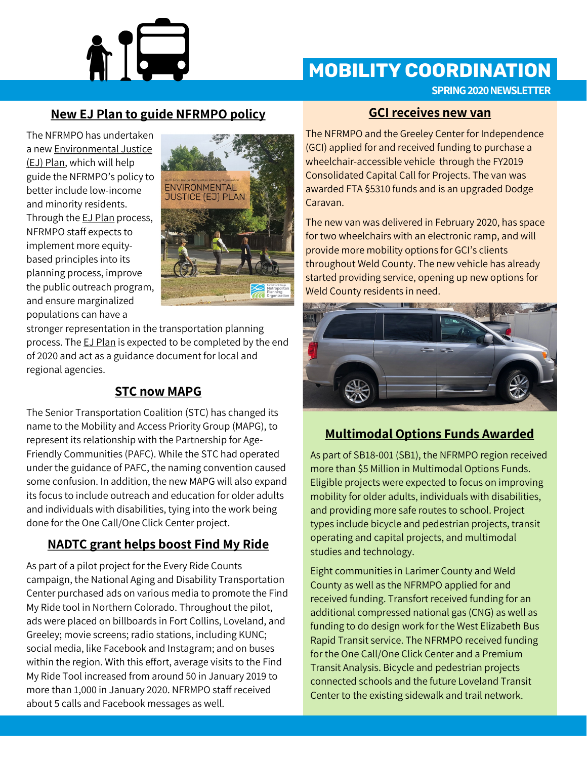

## **MOBILITY COORDINATION**

**SPRING 2020 NEWSLETTER**

### **New EJ Plan to guide NFRMPO policy**

The NFRMPO has undertaken a new Environmental Justice (EJ) Plan, which will help guide the NFRMPO's policy to better include low-income and minority residents. Through the **EJ Plan** process, NFRMPO staff expects to implement more equitybased principles into its planning process, improve the public outreach program, and ensure marginalized populations can have a



stronger representation in the transportation planning process. The **EJ Plan** is expected to be completed by the end of 2020 and act as a guidance document for local and regional agencies.

## **STC now MAPG**

The Senior Transportation Coalition (STC) has changed its name to the Mobility and Access Priority Group (MAPG), to represent its relationship with the Partnership for Age-Friendly Communities (PAFC). While the STC had operated under the guidance of PAFC, the naming convention caused some confusion. In addition, the new MAPG will also expand its focus to include outreach and education for older adults and individuals with disabilities, tying into the work being done for the One Call/One Click Center project.

## **NADTC grant helps boost Find My Ride**

As part of a pilot project for the Every Ride Counts campaign, the National Aging and Disability Transportation Center purchased ads on various media to promote the Find My Ride tool in Northern Colorado. Throughout the pilot, ads were placed on billboards in Fort Collins, Loveland, and Greeley; movie screens; radio stations, including KUNC; social media, like Facebook and Instagram; and on buses within the region. With this effort, average visits to the Find My Ride Tool increased from around 50 in January 2019 to more than 1,000 in January 2020. NFRMPO staff received about 5 calls and Facebook messages as well.

#### **GCI receives new van**

The NFRMPO and the Greeley Center for Independence (GCI) applied for and received funding to purchase a wheelchair-accessible vehicle through the FY2019 Consolidated Capital Call for Projects. The van was awarded FTA §5310 funds and is an upgraded Dodge Caravan.

The new van was delivered in February 2020, has space for two wheelchairs with an electronic ramp, and will provide more mobility options for GCI's clients throughout Weld County. The new vehicle has already started providing service, opening up new options for Weld County residents in need.



## **Multimodal Options Funds Awarded**

As part of SB18-001 (SB1), the NFRMPO region received more than \$5 Million in Multimodal Options Funds. Eligible projects were expected to focus on improving mobility for older adults, individuals with disabilities, and providing more safe routes to school. Project types include bicycle and pedestrian projects, transit operating and capital projects, and multimodal studies and technology.

Eight communities in Larimer County and Weld County as well as the NFRMPO applied for and received funding. Transfort received funding for an additional compressed national gas (CNG) as well as funding to do design work for the West Elizabeth Bus Rapid Transit service. The NFRMPO received funding for the One Call/One Click Center and a Premium Transit Analysis. Bicycle and pedestrian projects connected schools and the future Loveland Transit Center to the existing sidewalk and trail network.